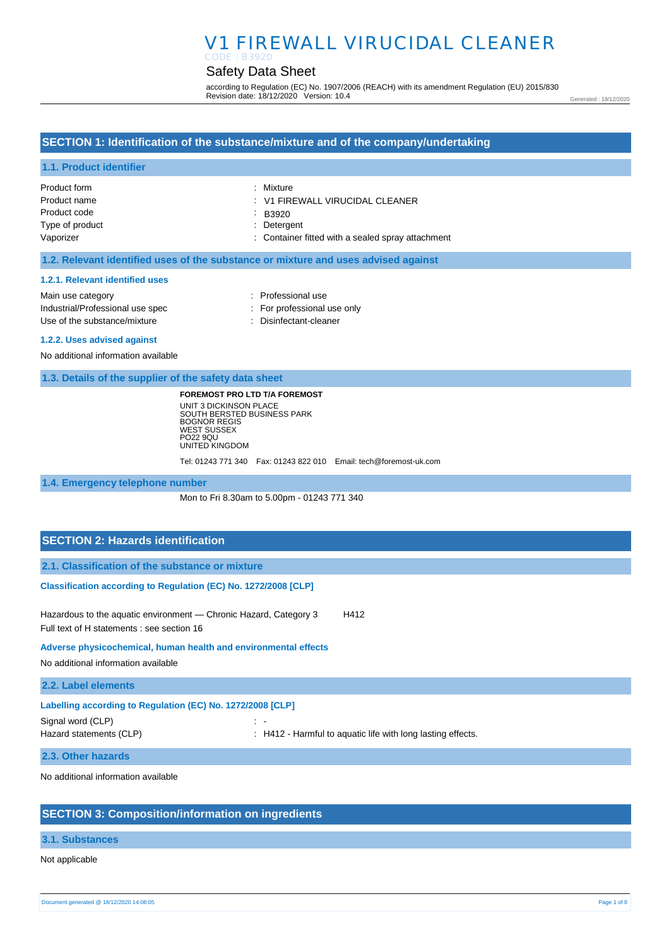#### Safety Data Sheet CODE : B3920

according to Regulation (EC) No. 1907/2006 (REACH) with its amendment Regulation (EU) 2015/830 Revision date: 18/12/2020 Version: 10.4

Generated : 18/12/2020

### **SECTION 1: Identification of the substance/mixture and of the company/undertaking**

### **1.1. Product identifier**

| Product form    | : Mixture                                         |
|-----------------|---------------------------------------------------|
| Product name    | V1 FIREWALL VIRUCIDAL CLEANER                     |
| Product code    | B3920                                             |
| Type of product | : Detergent                                       |
| Vaporizer       | : Container fitted with a sealed spray attachment |

#### **1.2. Relevant identified uses of the substance or mixture and uses advised against**

#### **1.2.1. Relevant identified uses**

Main use category **Example 20** and the Main use category **in the Contract 20 and 10** and 10 and 10 and 10 and 10 and 10 and 10 and 10 and 10 and 10 and 10 and 10 and 10 and 10 and 10 and 10 and 10 and 10 and 10 and 10 and Industrial/Professional use spec : For professional use only Use of the substance/mixture in the substance/mixture in the substance of the substance of the substance of the substance/mixture in the substance of the substance of the substance of the substance of the substance of the

#### **1.2.2. Uses advised against**

No additional information available

#### **1.3. Details of the supplier of the safety data sheet**

**FOREMOST PRO LTD T/A FOREMOST**

UNIT 3 DICKINSON PLACE SOUTH BERSTED BUSINESS PARK BOGNOR REGIS WEST SUSSEX PO22 9QU UNITED KINGDOM Tel: 01243 771 340 Fax: 01243 822 010 Email: tech@foremost-uk.com

#### **1.4. Emergency telephone number**

Mon to Fri 8.30am to 5.00pm - 01243 771 340

### **SECTION 2: Hazards identification**

**2.1. Classification of the substance or mixture**

#### **Classification according to Regulation (EC) No. 1272/2008 [CLP]**

Hazardous to the aquatic environment - Chronic Hazard, Category 3 H412 Full text of H statements : see section 16

#### **Adverse physicochemical, human health and environmental effects**

No additional information available

#### **2.2. Label elements**

| Labelling according to Regulation (EC) No. 1272/2008 [CLP] |                                                             |  |
|------------------------------------------------------------|-------------------------------------------------------------|--|
| Signal word (CLP)                                          | . .                                                         |  |
| Hazard statements (CLP)                                    | . H412 - Harmful to aquatic life with long lasting effects. |  |
|                                                            |                                                             |  |

#### **2.3. Other hazards**

No additional information available

### **SECTION 3: Composition/information on ingredients**

### **3.1. Substances**

Not applicable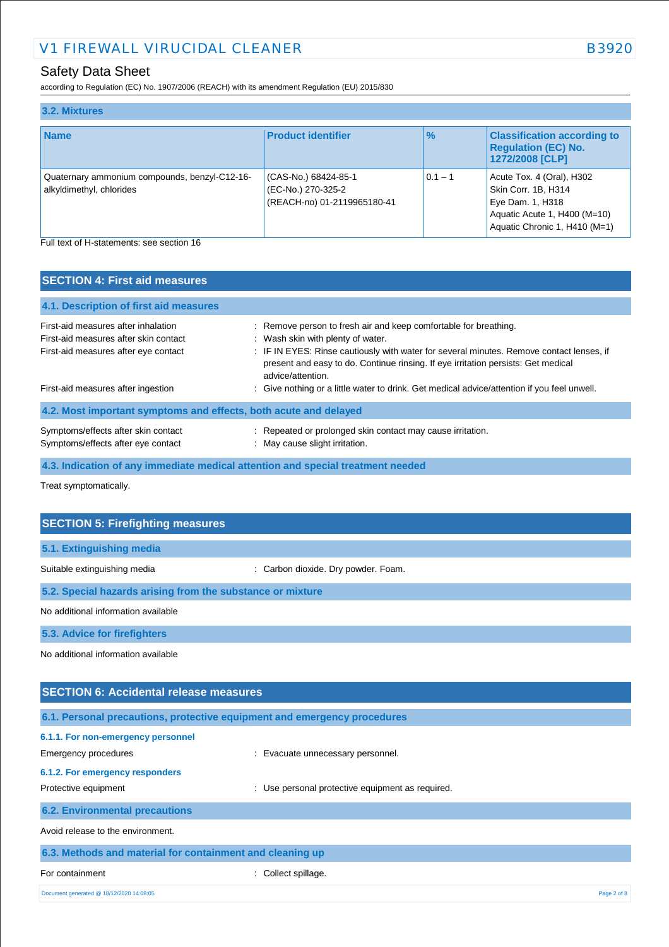## Safety Data Sheet

according to Regulation (EC) No. 1907/2006 (REACH) with its amendment Regulation (EU) 2015/830

| 3.2. Mixtures                                                             |                                                                           |               |                                                                                                                                       |
|---------------------------------------------------------------------------|---------------------------------------------------------------------------|---------------|---------------------------------------------------------------------------------------------------------------------------------------|
| <b>Name</b>                                                               | <b>Product identifier</b>                                                 | $\frac{9}{6}$ | <b>Classification according to</b><br><b>Regulation (EC) No.</b><br>1272/2008 [CLP]                                                   |
| Quaternary ammonium compounds, benzyl-C12-16-<br>alkyldimethyl, chlorides | (CAS-No.) 68424-85-1<br>(EC-No.) 270-325-2<br>(REACH-no) 01-2119965180-41 | $0.1 - 1$     | Acute Tox. 4 (Oral), H302<br>Skin Corr. 1B, H314<br>Eye Dam. 1, H318<br>Aquatic Acute 1, H400 (M=10)<br>Aquatic Chronic 1, H410 (M=1) |
| Full text of H-statements: see section 16                                 |                                                                           |               |                                                                                                                                       |

**SECTION 4: First aid measures**

| <b>OLUTION 4. FILST AND THEASURES</b>                                                                                |                                                                                                                                                                                                                                                                                                             |
|----------------------------------------------------------------------------------------------------------------------|-------------------------------------------------------------------------------------------------------------------------------------------------------------------------------------------------------------------------------------------------------------------------------------------------------------|
| 4.1. Description of first aid measures                                                                               |                                                                                                                                                                                                                                                                                                             |
| First-aid measures after inhalation<br>First-aid measures after skin contact<br>First-aid measures after eye contact | : Remove person to fresh air and keep comfortable for breathing.<br>: Wash skin with plenty of water.<br>: IF IN EYES: Rinse cautiously with water for several minutes. Remove contact lenses, if<br>present and easy to do. Continue rinsing. If eye irritation persists: Get medical<br>advice/attention. |
| First-aid measures after ingestion                                                                                   | : Give nothing or a little water to drink. Get medical advice/attention if you feel unwell.                                                                                                                                                                                                                 |
| 4.2. Most important symptoms and effects, both acute and delayed                                                     |                                                                                                                                                                                                                                                                                                             |
| Symptoms/effects after skin contact<br>Symptoms/effects after eye contact                                            | : Repeated or prolonged skin contact may cause irritation.<br>: May cause slight irritation.                                                                                                                                                                                                                |
| 4.3. Indication of any immediate medical attention and special treatment needed                                      |                                                                                                                                                                                                                                                                                                             |

Treat symptomatically.

| <b>SECTION 5: Firefighting measures</b>                    |                                     |  |
|------------------------------------------------------------|-------------------------------------|--|
| 5.1. Extinguishing media                                   |                                     |  |
| Suitable extinguishing media                               | : Carbon dioxide. Dry powder. Foam. |  |
| 5.2. Special hazards arising from the substance or mixture |                                     |  |
| No additional information available                        |                                     |  |
| 5.3. Advice for firefighters                               |                                     |  |
| No additional information available                        |                                     |  |
|                                                            |                                     |  |
| <b>SECTION 6: Accidental release measures</b>              |                                     |  |
|                                                            |                                     |  |

|                                                           | 6.1. Personal precautions, protective equipment and emergency procedures |             |
|-----------------------------------------------------------|--------------------------------------------------------------------------|-------------|
| 6.1.1. For non-emergency personnel                        |                                                                          |             |
| Emergency procedures                                      | : Evacuate unnecessary personnel.                                        |             |
| 6.1.2. For emergency responders                           |                                                                          |             |
| Protective equipment                                      | : Use personal protective equipment as required.                         |             |
| <b>6.2. Environmental precautions</b>                     |                                                                          |             |
| Avoid release to the environment.                         |                                                                          |             |
| 6.3. Methods and material for containment and cleaning up |                                                                          |             |
| For containment                                           | : Collect spillage.                                                      |             |
| Document generated @ 18/12/2020 14:08:05                  |                                                                          | Page 2 of 8 |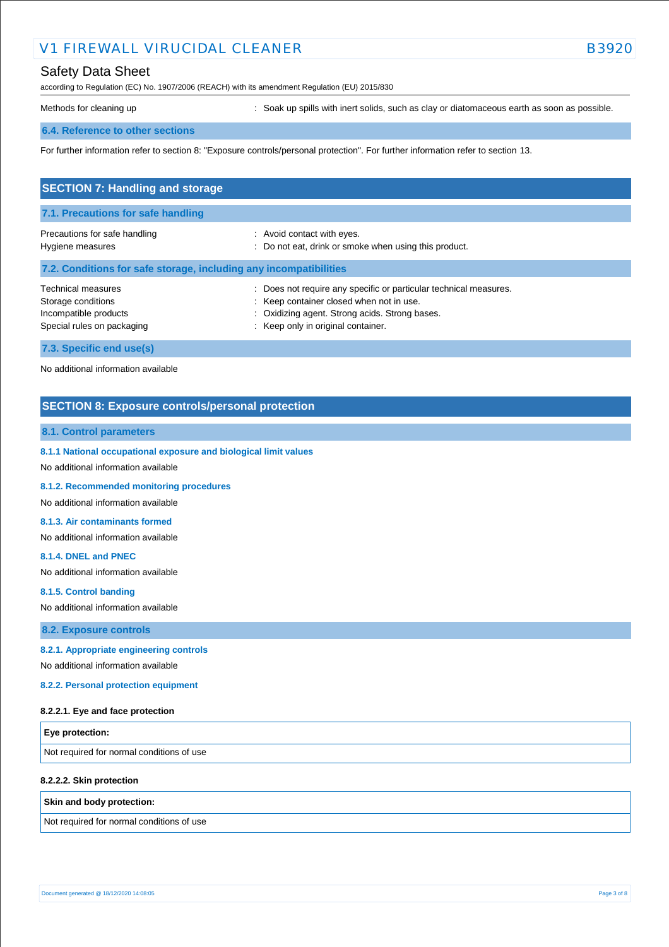## Safety Data Sheet

according to Regulation (EC) No. 1907/2006 (REACH) with its amendment Regulation (EU) 2015/830

Methods for cleaning up **interpret in the spills** with inert solids, such as clay or diatomaceous earth as soon as possible.

#### **6.4. Reference to other sections**

For further information refer to section 8: "Exposure controls/personal protection". For further information refer to section 13.

| <b>SECTION 7: Handling and storage</b>                                                                 |                                                                                                                                                                                                     |
|--------------------------------------------------------------------------------------------------------|-----------------------------------------------------------------------------------------------------------------------------------------------------------------------------------------------------|
| 7.1. Precautions for safe handling                                                                     |                                                                                                                                                                                                     |
| Precautions for safe handling<br>Hygiene measures                                                      | : Avoid contact with eyes.<br>: Do not eat, drink or smoke when using this product.                                                                                                                 |
| 7.2. Conditions for safe storage, including any incompatibilities                                      |                                                                                                                                                                                                     |
| <b>Technical measures</b><br>Storage conditions<br>Incompatible products<br>Special rules on packaging | Does not require any specific or particular technical measures.<br>: Keep container closed when not in use.<br>: Oxidizing agent. Strong acids. Strong bases.<br>: Keep only in original container. |
| 7.3. Specific end use(s)                                                                               |                                                                                                                                                                                                     |

No additional information available

### **SECTION 8: Exposure controls/personal protection**

#### **8.1. Control parameters**

**8.1.1 National occupational exposure and biological limit values** 

No additional information available

**8.1.2. Recommended monitoring procedures** 

No additional information available

#### **8.1.3. Air contaminants formed**

No additional information available

#### **8.1.4. DNEL and PNEC**

No additional information available

**8.1.5. Control banding** 

No additional information available

**8.2. Exposure controls**

#### **8.2.1. Appropriate engineering controls**

No additional information available

**8.2.2. Personal protection equipment** 

#### **8.2.2.1. Eye and face protection**

| <b>Eye protection:</b>                    |  |
|-------------------------------------------|--|
| Not required for normal conditions of use |  |

#### **8.2.2.2. Skin protection**

#### **Skin and body protection:**

Not required for normal conditions of use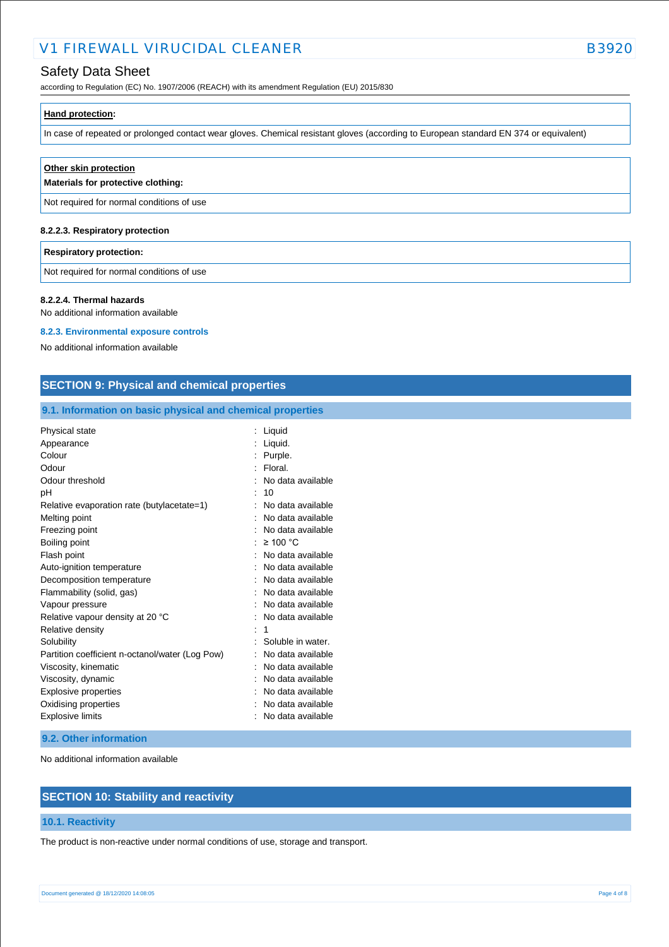## Safety Data Sheet

according to Regulation (EC) No. 1907/2006 (REACH) with its amendment Regulation (EU) 2015/830

| Hand protection: |  |  |
|------------------|--|--|
|                  |  |  |

In case of repeated or prolonged contact wear gloves. Chemical resistant gloves (according to European standard EN 374 or equivalent)

| Other skin protection<br>Materials for protective clothing: |
|-------------------------------------------------------------|
| Not required for normal conditions of use                   |
| 8.2.2.3. Respiratory protection                             |

#### **Respiratory protection:**

Not required for normal conditions of use

#### **8.2.2.4. Thermal hazards**

No additional information available

#### **8.2.3. Environmental exposure controls**

No additional information available

### **SECTION 9: Physical and chemical properties**

### **9.1. Information on basic physical and chemical properties**

| Physical state                                  | Liquid            |
|-------------------------------------------------|-------------------|
| Appearance                                      | Liquid.           |
| Colour                                          | Purple.           |
| Odour                                           | Floral.           |
| Odour threshold                                 | No data available |
| рH                                              | 10                |
| Relative evaporation rate (butylacetate=1)      | No data available |
| Melting point                                   | No data available |
| Freezing point                                  | No data available |
| Boiling point                                   | $\geq 100$ °C     |
| Flash point                                     | No data available |
| Auto-ignition temperature                       | No data available |
| Decomposition temperature                       | No data available |
| Flammability (solid, gas)                       | No data available |
| Vapour pressure                                 | No data available |
| Relative vapour density at 20 °C                | No data available |
| Relative density                                | 1                 |
| Solubility                                      | Soluble in water. |
| Partition coefficient n-octanol/water (Log Pow) | No data available |
| Viscosity, kinematic                            | No data available |
| Viscosity, dynamic                              | No data available |
| Explosive properties                            | No data available |
| Oxidising properties                            | No data available |
| <b>Explosive limits</b>                         | No data available |

#### **9.2. Other information**

No additional information available

## **SECTION 10: Stability and reactivity**

### **10.1. Reactivity**

The product is non-reactive under normal conditions of use, storage and transport.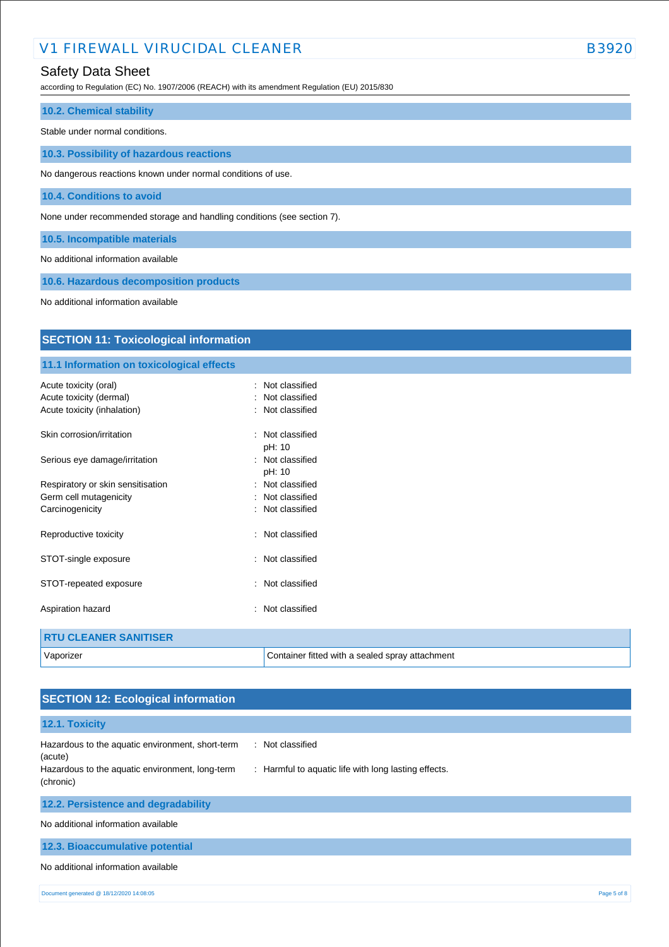## Safety Data Sheet

according to Regulation (EC) No. 1907/2006 (REACH) with its amendment Regulation (EU) 2015/830

| <b>10.2. Chemical stability</b>                                         |
|-------------------------------------------------------------------------|
| Stable under normal conditions.                                         |
| 10.3. Possibility of hazardous reactions                                |
| No dangerous reactions known under normal conditions of use.            |
| 10.4. Conditions to avoid                                               |
| None under recommended storage and handling conditions (see section 7). |
| 10.5. Incompatible materials                                            |
| No additional information available                                     |

**10.6. Hazardous decomposition products**

No additional information available

| <b>SECTION 11: Toxicological information</b> |                                                 |  |  |  |
|----------------------------------------------|-------------------------------------------------|--|--|--|
| 11.1 Information on toxicological effects    |                                                 |  |  |  |
| Acute toxicity (oral)                        | : Not classified                                |  |  |  |
| Acute toxicity (dermal)                      | Not classified                                  |  |  |  |
| Acute toxicity (inhalation)                  | Not classified                                  |  |  |  |
| Skin corrosion/irritation                    | : Not classified<br>pH: 10                      |  |  |  |
| Serious eye damage/irritation                | : Not classified<br>pH: 10                      |  |  |  |
| Respiratory or skin sensitisation            | : Not classified                                |  |  |  |
| Germ cell mutagenicity                       | : Not classified                                |  |  |  |
| Carcinogenicity                              | : Not classified                                |  |  |  |
| Reproductive toxicity                        | Not classified<br>$\bullet$                     |  |  |  |
| STOT-single exposure                         | : Not classified                                |  |  |  |
| STOT-repeated exposure                       | Not classified                                  |  |  |  |
| Aspiration hazard                            | : Not classified                                |  |  |  |
| <b>RTU CLEANER SANITISER</b>                 |                                                 |  |  |  |
| Vaporizer                                    | Container fitted with a sealed spray attachment |  |  |  |

| <b>SECTION 12: Ecological information</b>                                                                                   |                                                                          |
|-----------------------------------------------------------------------------------------------------------------------------|--------------------------------------------------------------------------|
| 12.1. Toxicity                                                                                                              |                                                                          |
| Hazardous to the aquatic environment, short-term<br>(acute)<br>Hazardous to the aquatic environment, long-term<br>(chronic) | : Not classified<br>: Harmful to aquatic life with long lasting effects. |
| 12.2. Persistence and degradability                                                                                         |                                                                          |
| No additional information available                                                                                         |                                                                          |
| 12.3. Bioaccumulative potential                                                                                             |                                                                          |
| No additional information available                                                                                         |                                                                          |
| Document generated @ 18/12/2020 14:08:05                                                                                    | Page 5 of 8                                                              |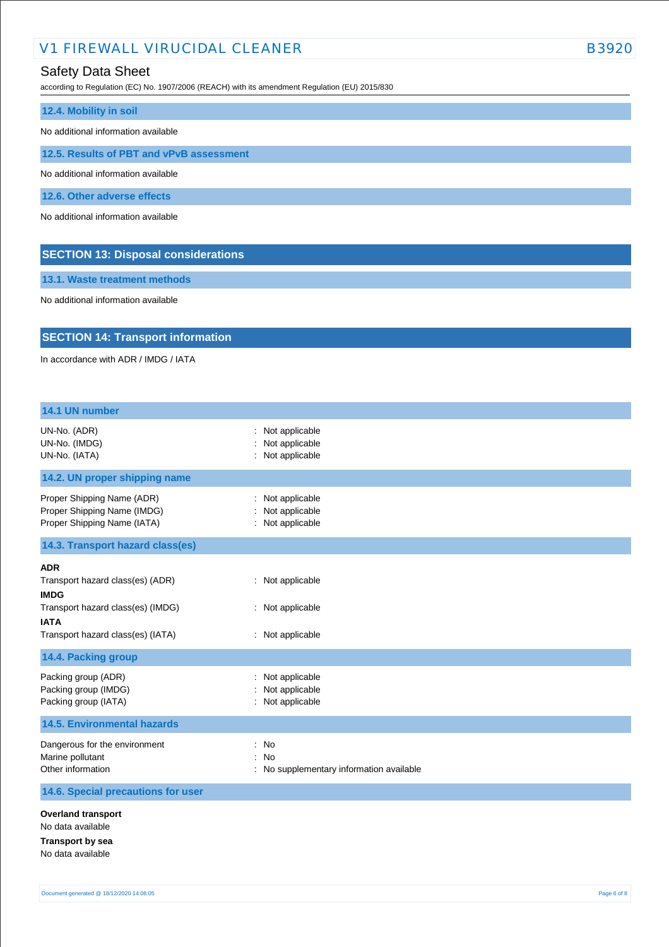## Safety Data Sheet

according to Regulation (EC) No. 1907/2006 (REACH) with its amendment Regulation (EU) 2015/830

| 12.4. Mobility in soil                     |  |  |
|--------------------------------------------|--|--|
| No additional information available        |  |  |
| 12.5. Results of PBT and vPvB assessment   |  |  |
| No additional information available        |  |  |
| 12.6. Other adverse effects                |  |  |
| No additional information available        |  |  |
| <b>SECTION 13: Disposal considerations</b> |  |  |

**13.1. Waste treatment methods**

No additional information available

## **SECTION 14: Transport information**

In accordance with ADR / IMDG / IATA

| 14.1 UN number                                                                                                                                         |                                                          |
|--------------------------------------------------------------------------------------------------------------------------------------------------------|----------------------------------------------------------|
| UN-No. (ADR)<br>UN-No. (IMDG)<br>UN-No. (IATA)                                                                                                         | Not applicable<br>Not applicable<br>: Not applicable     |
| 14.2. UN proper shipping name                                                                                                                          |                                                          |
| Proper Shipping Name (ADR)<br>Proper Shipping Name (IMDG)<br>Proper Shipping Name (IATA)                                                               | : Not applicable<br>Not applicable<br>: Not applicable   |
| 14.3. Transport hazard class(es)                                                                                                                       |                                                          |
| <b>ADR</b><br>Transport hazard class(es) (ADR)<br><b>IMDG</b><br>Transport hazard class(es) (IMDG)<br><b>IATA</b><br>Transport hazard class(es) (IATA) | : Not applicable<br>: Not applicable<br>: Not applicable |
| 14.4. Packing group                                                                                                                                    |                                                          |
| Packing group (ADR)<br>Packing group (IMDG)<br>Packing group (IATA)<br><b>14.5. Environmental hazards</b>                                              | Not applicable<br>Not applicable<br>: Not applicable     |
| Dangerous for the environment<br>Marine pollutant<br>Other information                                                                                 | : No<br>: No<br>: No supplementary information available |
| 14.6. Special precautions for user                                                                                                                     |                                                          |
| <b>Overland transport</b><br>No data available<br><b>Transport by sea</b><br>No data available                                                         |                                                          |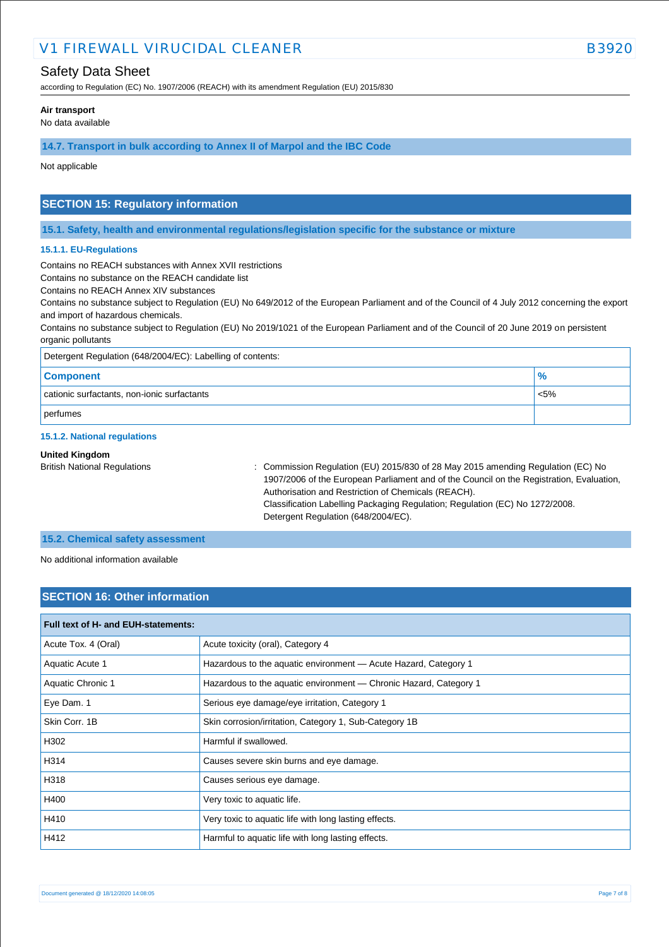## Safety Data Sheet

according to Regulation (EC) No. 1907/2006 (REACH) with its amendment Regulation (EU) 2015/830

#### **Air transport**

No data available

#### **14.7. Transport in bulk according to Annex II of Marpol and the IBC Code**

Not applicable

## **SECTION 15: Regulatory information**

**15.1. Safety, health and environmental regulations/legislation specific for the substance or mixture**

#### **15.1.1. EU-Regulations**

Contains no REACH substances with Annex XVII restrictions

Contains no substance on the REACH candidate list

Contains no REACH Annex XIV substances

Contains no substance subject to Regulation (EU) No 649/2012 of the European Parliament and of the Council of 4 July 2012 concerning the export and import of hazardous chemicals.

Contains no substance subject to Regulation (EU) No 2019/1021 of the European Parliament and of the Council of 20 June 2019 on persistent organic pollutants

| Detergent Regulation (648/2004/EC): Labelling of contents: |               |  |
|------------------------------------------------------------|---------------|--|
| <b>Component</b>                                           | $\frac{9}{6}$ |  |
| cationic surfactants, non-ionic surfactants                | $< 5\%$       |  |
| perfumes                                                   |               |  |

#### **15.1.2. National regulations**

#### **United Kingdom**

British National Regulations : Commission Regulation (EU) 2015/830 of 28 May 2015 amending Regulation (EC) No 1907/2006 of the European Parliament and of the Council on the Registration, Evaluation, Authorisation and Restriction of Chemicals (REACH). Classification Labelling Packaging Regulation; Regulation (EC) No 1272/2008. Detergent Regulation (648/2004/EC).

#### **15.2. Chemical safety assessment**

No additional information available

### **SECTION 16: Other information**

| Full text of H- and EUH-statements: |                                                                   |  |  |  |
|-------------------------------------|-------------------------------------------------------------------|--|--|--|
| Acute Tox. 4 (Oral)                 | Acute toxicity (oral), Category 4                                 |  |  |  |
| Aquatic Acute 1                     | Hazardous to the aquatic environment - Acute Hazard, Category 1   |  |  |  |
| Aquatic Chronic 1                   | Hazardous to the aquatic environment - Chronic Hazard, Category 1 |  |  |  |
| Eye Dam. 1                          | Serious eye damage/eye irritation, Category 1                     |  |  |  |
| Skin Corr. 1B                       | Skin corrosion/irritation, Category 1, Sub-Category 1B            |  |  |  |
| H302                                | Harmful if swallowed.                                             |  |  |  |
| H314                                | Causes severe skin burns and eye damage.                          |  |  |  |
| H318                                | Causes serious eye damage.                                        |  |  |  |
| H400                                | Very toxic to aquatic life.                                       |  |  |  |
| H410                                | Very toxic to aquatic life with long lasting effects.             |  |  |  |
| H412                                | Harmful to aquatic life with long lasting effects.                |  |  |  |